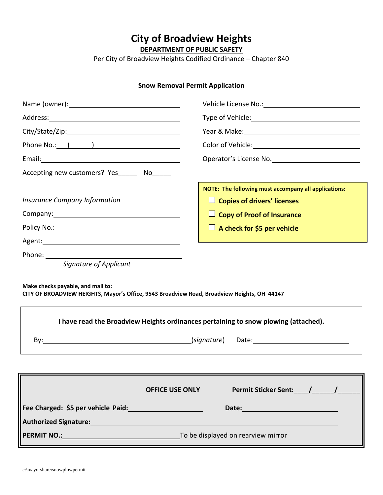**City of Broadview Heights**

**DEPARTMENT OF PUBLIC SAFETY**

Per City of Broadview Heights Codified Ordinance – Chapter 840

# **Snow Removal Permit Application**

| Phone No.: ( )                                                                                                                                                                                                                       |                                                             |
|--------------------------------------------------------------------------------------------------------------------------------------------------------------------------------------------------------------------------------------|-------------------------------------------------------------|
| Email: <u>Andreas and American and American and American and American and American and American and American and American and American and American and American and American and American and American and American and America</u> |                                                             |
| Accepting new customers? Yes_______ No______                                                                                                                                                                                         |                                                             |
|                                                                                                                                                                                                                                      | <b>NOTE:</b> The following must accompany all applications: |
| <b>Insurance Company Information</b>                                                                                                                                                                                                 | $\Box$ Copies of drivers' licenses                          |
| Company: Company:                                                                                                                                                                                                                    | $\Box$ Copy of Proof of Insurance                           |
|                                                                                                                                                                                                                                      | $\Box$ A check for \$5 per vehicle                          |
|                                                                                                                                                                                                                                      |                                                             |
| Signature of Applicant<br>Make checks payable, and mail to:<br>CITY OF BROADVIEW HEIGHTS, Mayor's Office, 9543 Broadview Road, Broadview Heights, OH 44147                                                                           |                                                             |
| I have read the Broadview Heights ordinances pertaining to snow plowing (attached).                                                                                                                                                  |                                                             |
|                                                                                                                                                                                                                                      |                                                             |
|                                                                                                                                                                                                                                      |                                                             |
| <b>OFFICE USE ONLY</b>                                                                                                                                                                                                               | Permit Sticker Sent: / /                                    |
| Fee Charged: \$5 per vehicle Paid: Management Charged: 0                                                                                                                                                                             |                                                             |
| Authorized Signature: Management Control of the Control of the Control of the Control of the Control of the Co                                                                                                                       |                                                             |
| <b>PERMIT NO.:</b> PERMIT NO.: <b>DERMIT NO.</b> TO be displayed on rearview mirror                                                                                                                                                  |                                                             |